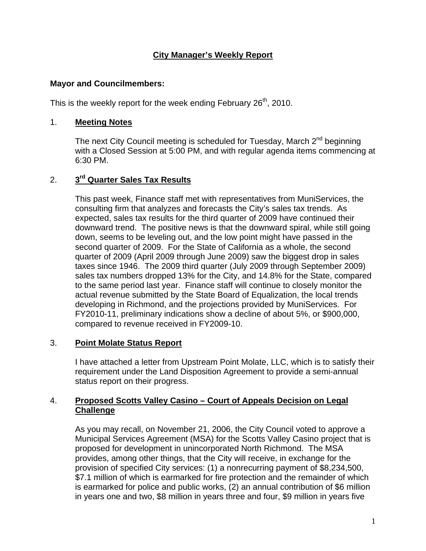## **City Manager's Weekly Report**

## **Mayor and Councilmembers:**

This is the weekly report for the week ending February 26<sup>th</sup>, 2010.

## 1. **Meeting Notes**

The next City Council meeting is scheduled for Tuesday, March 2<sup>nd</sup> beginning with a Closed Session at 5:00 PM, and with regular agenda items commencing at 6:30 PM.

# 2. **3rd Quarter Sales Tax Results**

This past week, Finance staff met with representatives from MuniServices, the consulting firm that analyzes and forecasts the City's sales tax trends. As expected, sales tax results for the third quarter of 2009 have continued their downward trend. The positive news is that the downward spiral, while still going down, seems to be leveling out, and the low point might have passed in the second quarter of 2009. For the State of California as a whole, the second quarter of 2009 (April 2009 through June 2009) saw the biggest drop in sales taxes since 1946. The 2009 third quarter (July 2009 through September 2009) sales tax numbers dropped 13% for the City, and 14.8% for the State, compared to the same period last year. Finance staff will continue to closely monitor the actual revenue submitted by the State Board of Equalization, the local trends developing in Richmond, and the projections provided by MuniServices. For FY2010-11, preliminary indications show a decline of about 5%, or \$900,000, compared to revenue received in FY2009-10.

## 3. **Point Molate Status Report**

I have attached a letter from Upstream Point Molate, LLC, which is to satisfy their requirement under the Land Disposition Agreement to provide a semi-annual status report on their progress.

## 4. **Proposed Scotts Valley Casino – Court of Appeals Decision on Legal Challenge**

As you may recall, on November 21, 2006, the City Council voted to approve a Municipal Services Agreement (MSA) for the Scotts Valley Casino project that is proposed for development in unincorporated North Richmond. The MSA provides, among other things, that the City will receive, in exchange for the provision of specified City services: (1) a nonrecurring payment of \$8,234,500, \$7.1 million of which is earmarked for fire protection and the remainder of which is earmarked for police and public works, (2) an annual contribution of \$6 million in years one and two, \$8 million in years three and four, \$9 million in years five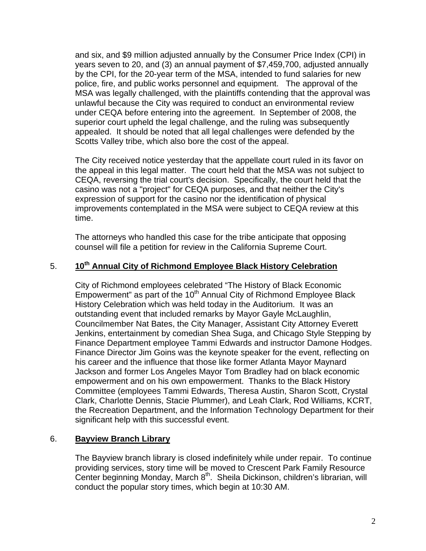and six, and \$9 million adjusted annually by the Consumer Price Index (CPI) in years seven to 20, and (3) an annual payment of \$7,459,700, adjusted annually by the CPI, for the 20-year term of the MSA, intended to fund salaries for new police, fire, and public works personnel and equipment. The approval of the MSA was legally challenged, with the plaintiffs contending that the approval was unlawful because the City was required to conduct an environmental review under CEQA before entering into the agreement. In September of 2008, the superior court upheld the legal challenge, and the ruling was subsequently appealed. It should be noted that all legal challenges were defended by the Scotts Valley tribe, which also bore the cost of the appeal.

The City received notice yesterday that the appellate court ruled in its favor on the appeal in this legal matter. The court held that the MSA was not subject to CEQA, reversing the trial court's decision. Specifically, the court held that the casino was not a "project" for CEQA purposes, and that neither the City's expression of support for the casino nor the identification of physical improvements contemplated in the MSA were subject to CEQA review at this time.

The attorneys who handled this case for the tribe anticipate that opposing counsel will file a petition for review in the California Supreme Court.

## 5. **10th Annual City of Richmond Employee Black History Celebration**

City of Richmond employees celebrated "The History of Black Economic Empowerment" as part of the 10<sup>th</sup> Annual City of Richmond Employee Black History Celebration which was held today in the Auditorium. It was an outstanding event that included remarks by Mayor Gayle McLaughlin, Councilmember Nat Bates, the City Manager, Assistant City Attorney Everett Jenkins, entertainment by comedian Shea Suga, and Chicago Style Stepping by Finance Department employee Tammi Edwards and instructor Damone Hodges. Finance Director Jim Goins was the keynote speaker for the event, reflecting on his career and the influence that those like former Atlanta Mayor Maynard Jackson and former Los Angeles Mayor Tom Bradley had on black economic empowerment and on his own empowerment. Thanks to the Black History Committee (employees Tammi Edwards, Theresa Austin, Sharon Scott, Crystal Clark, Charlotte Dennis, Stacie Plummer), and Leah Clark, Rod Williams, KCRT, the Recreation Department, and the Information Technology Department for their significant help with this successful event.

## 6. **Bayview Branch Library**

The Bayview branch library is closed indefinitely while under repair. To continue providing services, story time will be moved to Crescent Park Family Resource Center beginning Monday, March 8<sup>th</sup>. Sheila Dickinson, children's librarian, will conduct the popular story times, which begin at 10:30 AM.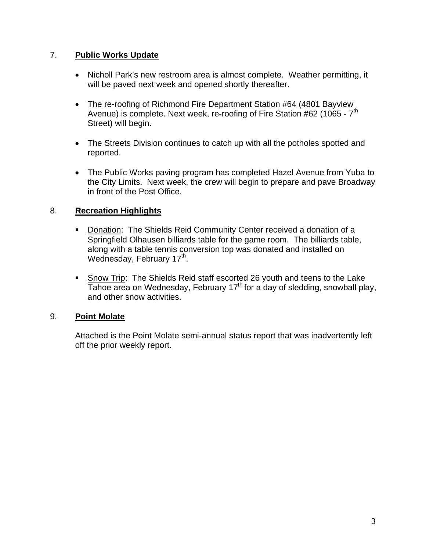## 7. **Public Works Update**

- Nicholl Park's new restroom area is almost complete. Weather permitting, it will be paved next week and opened shortly thereafter.
- The re-roofing of Richmond Fire Department Station #64 (4801 Bayview Avenue) is complete. Next week, re-roofing of Fire Station #62 (1065 -  $7<sup>th</sup>$ Street) will begin.
- The Streets Division continues to catch up with all the potholes spotted and reported.
- The Public Works paving program has completed Hazel Avenue from Yuba to the City Limits. Next week, the crew will begin to prepare and pave Broadway in front of the Post Office.

## 8. **Recreation Highlights**

- Donation: The Shields Reid Community Center received a donation of a Springfield Olhausen billiards table for the game room. The billiards table, along with a table tennis conversion top was donated and installed on Wednesday, February 17<sup>th</sup>.
- **Show Trip: The Shields Reid staff escorted 26 youth and teens to the Lake**  $\overline{T}$ ahoe area on Wednesday, February 17<sup>th</sup> for a day of sledding, snowball play, and other snow activities.

## 9. **Point Molate**

Attached is the Point Molate semi-annual status report that was inadvertently left off the prior weekly report.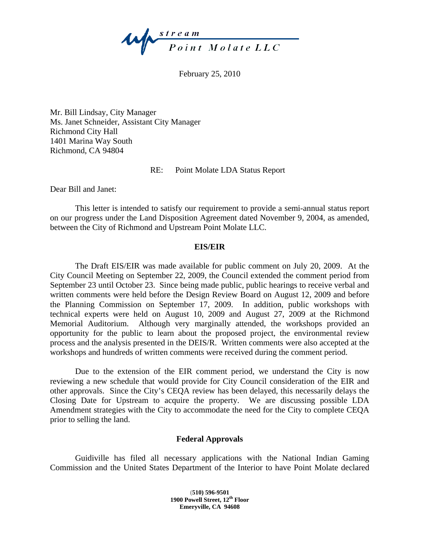

February 25, 2010

Mr. Bill Lindsay, City Manager Ms. Janet Schneider, Assistant City Manager Richmond City Hall 1401 Marina Way South Richmond, CA 94804

RE: Point Molate LDA Status Report

Dear Bill and Janet:

This letter is intended to satisfy our requirement to provide a semi-annual status report on our progress under the Land Disposition Agreement dated November 9, 2004, as amended, between the City of Richmond and Upstream Point Molate LLC.

#### **EIS/EIR**

The Draft EIS/EIR was made available for public comment on July 20, 2009. At the City Council Meeting on September 22, 2009, the Council extended the comment period from September 23 until October 23. Since being made public, public hearings to receive verbal and written comments were held before the Design Review Board on August 12, 2009 and before the Planning Commission on September 17, 2009. In addition, public workshops with technical experts were held on August 10, 2009 and August 27, 2009 at the Richmond Memorial Auditorium. Although very marginally attended, the workshops provided an opportunity for the public to learn about the proposed project, the environmental review process and the analysis presented in the DEIS/R. Written comments were also accepted at the workshops and hundreds of written comments were received during the comment period.

Due to the extension of the EIR comment period, we understand the City is now reviewing a new schedule that would provide for City Council consideration of the EIR and other approvals. Since the City's CEQA review has been delayed, this necessarily delays the Closing Date for Upstream to acquire the property. We are discussing possible LDA Amendment strategies with the City to accommodate the need for the City to complete CEQA prior to selling the land.

#### **Federal Approvals**

Guidiville has filed all necessary applications with the National Indian Gaming Commission and the United States Department of the Interior to have Point Molate declared

> **(510) 596-9501 1900 Powell Street, 12th Floor Emeryville, CA 94608**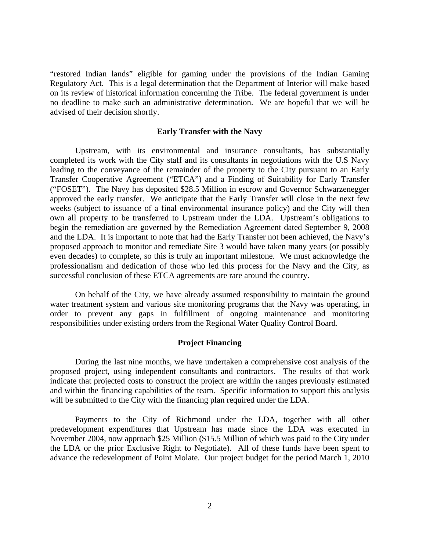"restored Indian lands" eligible for gaming under the provisions of the Indian Gaming Regulatory Act. This is a legal determination that the Department of Interior will make based on its review of historical information concerning the Tribe. The federal government is under no deadline to make such an administrative determination. We are hopeful that we will be advised of their decision shortly.

#### **Early Transfer with the Navy**

Upstream, with its environmental and insurance consultants, has substantially completed its work with the City staff and its consultants in negotiations with the U.S Navy leading to the conveyance of the remainder of the property to the City pursuant to an Early Transfer Cooperative Agreement ("ETCA") and a Finding of Suitability for Early Transfer ("FOSET"). The Navy has deposited \$28.5 Million in escrow and Governor Schwarzenegger approved the early transfer. We anticipate that the Early Transfer will close in the next few weeks (subject to issuance of a final environmental insurance policy) and the City will then own all property to be transferred to Upstream under the LDA. Upstream's obligations to begin the remediation are governed by the Remediation Agreement dated September 9, 2008 and the LDA. It is important to note that had the Early Transfer not been achieved, the Navy's proposed approach to monitor and remediate Site 3 would have taken many years (or possibly even decades) to complete, so this is truly an important milestone. We must acknowledge the professionalism and dedication of those who led this process for the Navy and the City, as successful conclusion of these ETCA agreements are rare around the country.

On behalf of the City, we have already assumed responsibility to maintain the ground water treatment system and various site monitoring programs that the Navy was operating, in order to prevent any gaps in fulfillment of ongoing maintenance and monitoring responsibilities under existing orders from the Regional Water Quality Control Board.

#### **Project Financing**

During the last nine months, we have undertaken a comprehensive cost analysis of the proposed project, using independent consultants and contractors. The results of that work indicate that projected costs to construct the project are within the ranges previously estimated and within the financing capabilities of the team. Specific information to support this analysis will be submitted to the City with the financing plan required under the LDA.

Payments to the City of Richmond under the LDA, together with all other predevelopment expenditures that Upstream has made since the LDA was executed in November 2004, now approach \$25 Million (\$15.5 Million of which was paid to the City under the LDA or the prior Exclusive Right to Negotiate). All of these funds have been spent to advance the redevelopment of Point Molate. Our project budget for the period March 1, 2010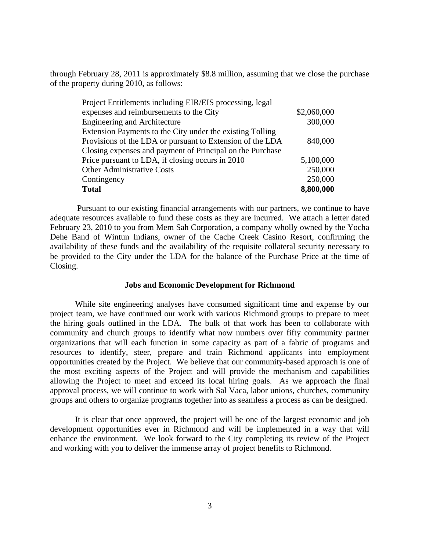through February 28, 2011 is approximately \$8.8 million, assuming that we close the purchase of the property during 2010, as follows:

| Project Entitlements including EIR/EIS processing, legal  |             |
|-----------------------------------------------------------|-------------|
| expenses and reimbursements to the City                   | \$2,060,000 |
| <b>Engineering and Architecture</b>                       | 300,000     |
| Extension Payments to the City under the existing Tolling |             |
| Provisions of the LDA or pursuant to Extension of the LDA | 840,000     |
| Closing expenses and payment of Principal on the Purchase |             |
| Price pursuant to LDA, if closing occurs in 2010          | 5,100,000   |
| <b>Other Administrative Costs</b>                         | 250,000     |
| Contingency                                               | 250,000     |
| <b>Total</b>                                              | 8,800,000   |

Pursuant to our existing financial arrangements with our partners, we continue to have adequate resources available to fund these costs as they are incurred. We attach a letter dated February 23, 2010 to you from Mem Sah Corporation, a company wholly owned by the Yocha Dehe Band of Wintun Indians, owner of the Cache Creek Casino Resort, confirming the availability of these funds and the availability of the requisite collateral security necessary to be provided to the City under the LDA for the balance of the Purchase Price at the time of Closing.

#### **Jobs and Economic Development for Richmond**

While site engineering analyses have consumed significant time and expense by our project team, we have continued our work with various Richmond groups to prepare to meet the hiring goals outlined in the LDA. The bulk of that work has been to collaborate with community and church groups to identify what now numbers over fifty community partner organizations that will each function in some capacity as part of a fabric of programs and resources to identify, steer, prepare and train Richmond applicants into employment opportunities created by the Project. We believe that our community-based approach is one of the most exciting aspects of the Project and will provide the mechanism and capabilities allowing the Project to meet and exceed its local hiring goals. As we approach the final approval process, we will continue to work with Sal Vaca, labor unions, churches, community groups and others to organize programs together into as seamless a process as can be designed.

It is clear that once approved, the project will be one of the largest economic and job development opportunities ever in Richmond and will be implemented in a way that will enhance the environment. We look forward to the City completing its review of the Project and working with you to deliver the immense array of project benefits to Richmond.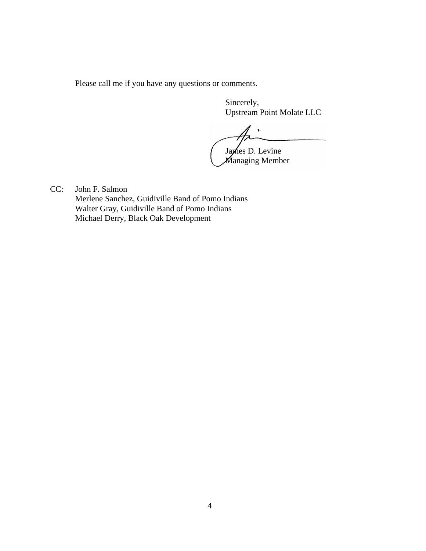Please call me if you have any questions or comments.

Sincerely, Upstream Point Molate LLC

 $\frac{1}{2}$ James D. Levine

Managing Member

CC: John F. Salmon Merlene Sanchez, Guidiville Band of Pomo Indians Walter Gray, Guidiville Band of Pomo Indians Michael Derry, Black Oak Development